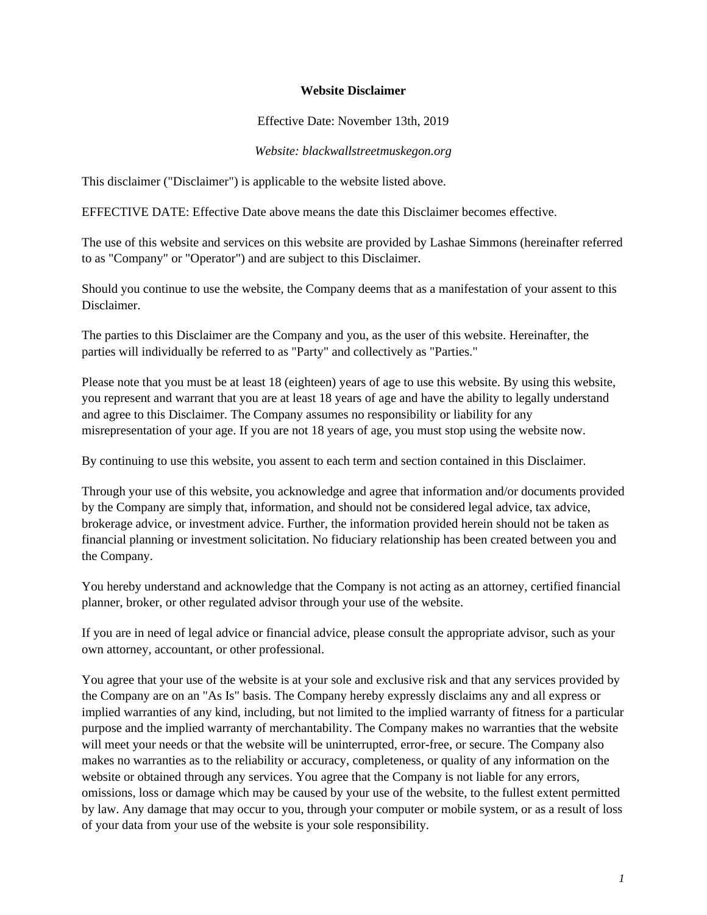## **Website Disclaimer**

## Effective Date: November 13th, 2019

## *Website: blackwallstreetmuskegon.org*

This disclaimer ("Disclaimer") is applicable to the website listed above.

EFFECTIVE DATE: Effective Date above means the date this Disclaimer becomes effective.

The use of this website and services on this website are provided by Lashae Simmons (hereinafter referred to as "Company" or "Operator") and are subject to this Disclaimer.

Should you continue to use the website, the Company deems that as a manifestation of your assent to this Disclaimer.

The parties to this Disclaimer are the Company and you, as the user of this website. Hereinafter, the parties will individually be referred to as "Party" and collectively as "Parties."

Please note that you must be at least 18 (eighteen) years of age to use this website. By using this website, you represent and warrant that you are at least 18 years of age and have the ability to legally understand and agree to this Disclaimer. The Company assumes no responsibility or liability for any misrepresentation of your age. If you are not 18 years of age, you must stop using the website now.

By continuing to use this website, you assent to each term and section contained in this Disclaimer.

Through your use of this website, you acknowledge and agree that information and/or documents provided by the Company are simply that, information, and should not be considered legal advice, tax advice, brokerage advice, or investment advice. Further, the information provided herein should not be taken as financial planning or investment solicitation. No fiduciary relationship has been created between you and the Company.

You hereby understand and acknowledge that the Company is not acting as an attorney, certified financial planner, broker, or other regulated advisor through your use of the website.

If you are in need of legal advice or financial advice, please consult the appropriate advisor, such as your own attorney, accountant, or other professional.

You agree that your use of the website is at your sole and exclusive risk and that any services provided by the Company are on an "As Is" basis. The Company hereby expressly disclaims any and all express or implied warranties of any kind, including, but not limited to the implied warranty of fitness for a particular purpose and the implied warranty of merchantability. The Company makes no warranties that the website will meet your needs or that the website will be uninterrupted, error-free, or secure. The Company also makes no warranties as to the reliability or accuracy, completeness, or quality of any information on the website or obtained through any services. You agree that the Company is not liable for any errors, omissions, loss or damage which may be caused by your use of the website, to the fullest extent permitted by law. Any damage that may occur to you, through your computer or mobile system, or as a result of loss of your data from your use of the website is your sole responsibility.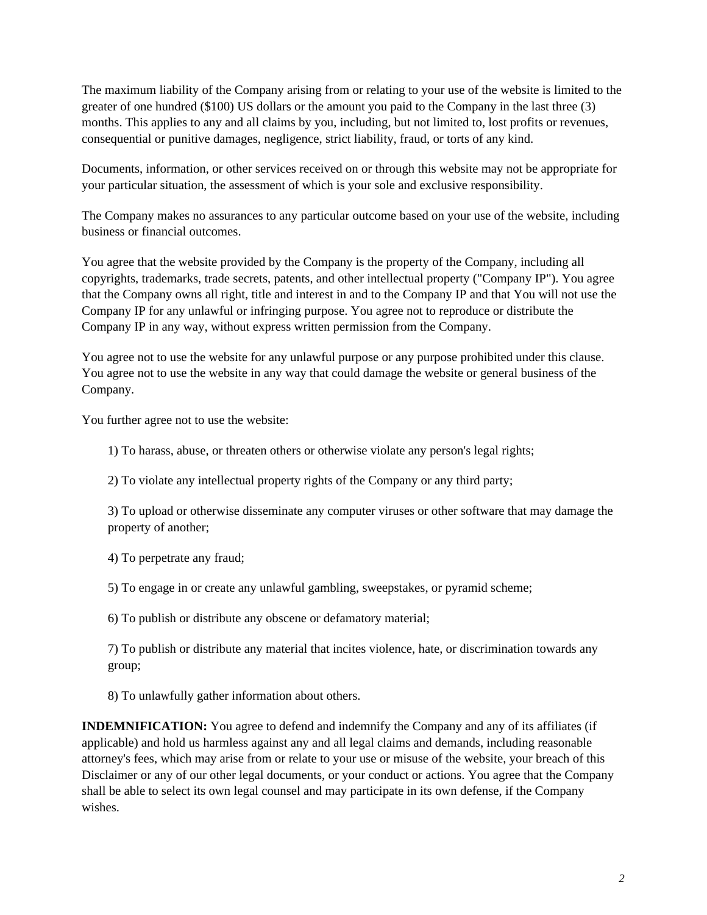The maximum liability of the Company arising from or relating to your use of the website is limited to the greater of one hundred (\$100) US dollars or the amount you paid to the Company in the last three (3) months. This applies to any and all claims by you, including, but not limited to, lost profits or revenues, consequential or punitive damages, negligence, strict liability, fraud, or torts of any kind.

Documents, information, or other services received on or through this website may not be appropriate for your particular situation, the assessment of which is your sole and exclusive responsibility.

The Company makes no assurances to any particular outcome based on your use of the website, including business or financial outcomes.

You agree that the website provided by the Company is the property of the Company, including all copyrights, trademarks, trade secrets, patents, and other intellectual property ("Company IP"). You agree that the Company owns all right, title and interest in and to the Company IP and that You will not use the Company IP for any unlawful or infringing purpose. You agree not to reproduce or distribute the Company IP in any way, without express written permission from the Company.

You agree not to use the website for any unlawful purpose or any purpose prohibited under this clause. You agree not to use the website in any way that could damage the website or general business of the Company.

You further agree not to use the website:

1) To harass, abuse, or threaten others or otherwise violate any person's legal rights;

2) To violate any intellectual property rights of the Company or any third party;

3) To upload or otherwise disseminate any computer viruses or other software that may damage the property of another;

4) To perpetrate any fraud;

5) To engage in or create any unlawful gambling, sweepstakes, or pyramid scheme;

6) To publish or distribute any obscene or defamatory material;

7) To publish or distribute any material that incites violence, hate, or discrimination towards any group;

8) To unlawfully gather information about others.

**INDEMNIFICATION:** You agree to defend and indemnify the Company and any of its affiliates (if applicable) and hold us harmless against any and all legal claims and demands, including reasonable attorney's fees, which may arise from or relate to your use or misuse of the website, your breach of this Disclaimer or any of our other legal documents, or your conduct or actions. You agree that the Company shall be able to select its own legal counsel and may participate in its own defense, if the Company wishes.